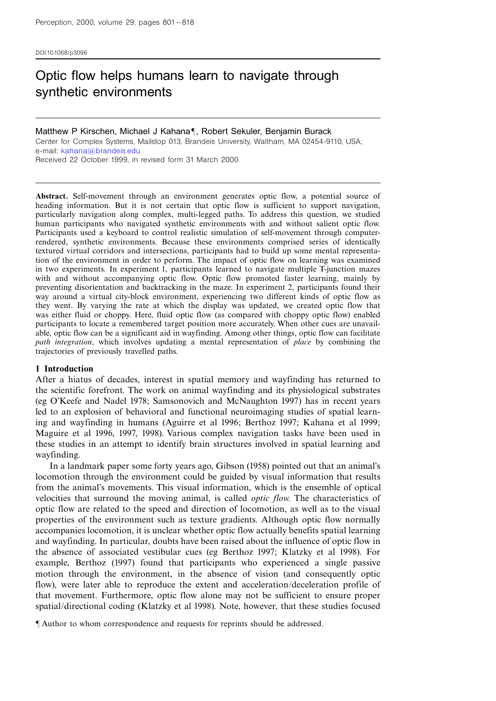DOI:10.1068/p3096

# Optic flow helps humans learn to navigate through synthetic environments

Matthew P Kirschen, Michael J Kahana¶, Robert Sekuler, Benjamin Burack Center for Complex Systems, Mailstop 013, Brandeis University, Waltham, MA 02454-9110, USA; e-mail: [kahana@brandeis.edu](mailto:kahana@brandeis.edu) Received 22 October 1999, in revised form 31 March 2000

Abstract. Self-movement through an environment generates optic flow, a potential source of heading information. But it is not certain that optic flow is sufficient to support navigation, particularly navigation along complex, multi-legged paths. To address this question, we studied human participants who navigated synthetic environments with and without salient optic flow. Participants used a keyboard to control realistic simulation of self-movement through computerrendered, synthetic environments. Because these environments comprised series of identically textured virtual corridors and intersections, participants had to build up some mental representation of the environment in order to perform. The impact of optic flow on learning was examined in two experiments. In experiment 1, participants learned to navigate multiple T-junction mazes with and without accompanying optic flow. Optic flow promoted faster learning, mainly by preventing disorientation and backtracking in the maze. In experiment 2, participants found their way around a virtual city-block environment, experiencing two different kinds of optic flow as they went. By varying the rate at which the display was updated, we created optic flow that was either fluid or choppy. Here, fluid optic flow (as compared with choppy optic flow) enabled participants to locate a remembered target position more accurately. When other cues are unavailable, optic flow can be a significant aid in wayfinding. Among other things, optic flow can facilitate path integration, which involves updating a mental representation of place by combining the trajectories of previously travelled paths.

#### 1 Introduction

After a hiatus of decades, interest in spatial memory and wayfinding has returned to the scientific forefront. The work on animal wayfinding and its physiological substrates (eg O'Keefe and Nadel 1978; Samsonovich and McNaughton 1997) has in recent years led to an explosion of behavioral and functional neuroimaging studies of spatial learning and wayfinding in humans (Aguirre et al 1996; Berthoz 1997; Kahana et al 1999; Maguire et al 1996, 1997, 1998). Various complex navigation tasks have been used in these studies in an attempt to identify brain structures involved in spatial learning and wayfinding.

In a landmark paper some forty years ago, Gibson (1958) pointed out that an animal's locomotion through the environment could be guided by visual information that results from the animal's movements. This visual information, which is the ensemble of optical velocities that surround the moving animal, is called optic flow. The characteristics of optic flow are related to the speed and direction of locomotion, as well as to the visual properties of the environment such as texture gradients. Although optic flow normally accompanies locomotion, it is unclear whether optic flow actually benefits spatial learning and wayfinding. In particular, doubts have been raised about the influence of optic flow in the absence of associated vestibular cues (eg Berthoz 1997; Klatzky et al 1998). For example, Berthoz (1997) found that participants who experienced a single passive motion through the environment, in the absence of vision (and consequently optic flow), were later able to reproduce the extent and acceleration/deceleration profile of that movement. Furthermore, optic flow alone may not be sufficient to ensure proper spatial/directional coding (Klatzky et al 1998). Note, however, that these studies focused

ô Author to whom correspondence and requests for reprints should be addressed.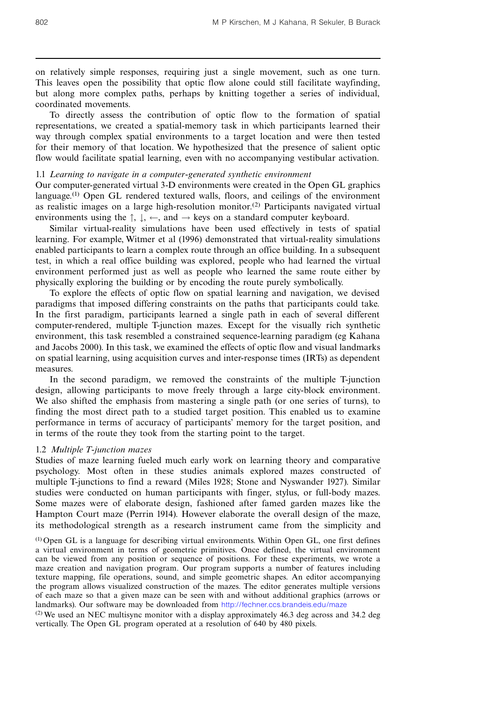on relatively simple responses, requiring just a single movement, such as one turn. This leaves open the possibility that optic flow alone could still facilitate wayfinding, but along more complex paths, perhaps by knitting together a series of individual, coordinated movements.

To directly assess the contribution of optic flow to the formation of spatial representations, we created a spatial-memory task in which participants learned their way through complex spatial environments to a target location and were then tested for their memory of that location. We hypothesized that the presence of salient optic flow would facilitate spatial learning, even with no accompanying vestibular activation.

## 1.1 Learning to navigate in a computer-generated synthetic environment

Our computer-generated virtual 3-D environments were created in the Open GL graphics language.<sup>(1)</sup> Open GL rendered textured walls, floors, and ceilings of the environment as realistic images on a large high-resolution monitor.<sup>(2)</sup> Participants navigated virtual environments using the  $\uparrow$ ,  $\downarrow$ ,  $\leftarrow$ , and  $\rightarrow$  keys on a standard computer keyboard.

Similar virtual-reality simulations have been used effectively in tests of spatial learning. For example, Witmer et al (1996) demonstrated that virtual-reality simulations enabled participants to learn a complex route through an office building. In a subsequent test, in which a real office building was explored, people who had learned the virtual environment performed just as well as people who learned the same route either by physically exploring the building or by encoding the route purely symbolically.

To explore the effects of optic flow on spatial learning and navigation, we devised paradigms that imposed differing constraints on the paths that participants could take. In the first paradigm, participants learned a single path in each of several different computer-rendered, multiple T-junction mazes. Except for the visually rich synthetic environment, this task resembled a constrained sequence-learning paradigm (eg Kahana and Jacobs 2000). In this task, we examined the effects of optic flow and visual landmarks on spatial learning, using acquisition curves and inter-response times (IRTs) as dependent measures.

In the second paradigm, we removed the constraints of the multiple T-junction design, allowing participants to move freely through a large city-block environment. We also shifted the emphasis from mastering a single path (or one series of turns), to finding the most direct path to a studied target position. This enabled us to examine performance in terms of accuracy of participants' memory for the target position, and in terms of the route they took from the starting point to the target.

## 1.2 Multiple T-junction mazes

Studies of maze learning fueled much early work on learning theory and comparative psychology. Most often in these studies animals explored mazes constructed of multiple T-junctions to find a reward (Miles 1928; Stone and Nyswander 1927). Similar studies were conducted on human participants with finger, stylus, or full-body mazes. Some mazes were of elaborate design, fashioned after famed garden mazes like the Hampton Court maze (Perrin 1914). However elaborate the overall design of the maze, its methodological strength as a research instrument came from the simplicity and

(1) Open GL is a language for describing virtual environments. Within Open GL, one first defines a virtual environment in terms of geometric primitives. Once defined, the virtual environment can be viewed from any position or sequence of positions. For these experiments, we wrote a maze creation and navigation program. Our program supports a number of features including texture mapping, file operations, sound, and simple geometric shapes. An editor accompanying the program allows visualized construction of the mazes. The editor generates multiple versions of each maze so that a given maze can be seen with and without additional graphics (arrows or landmarks). Our software may be downloaded from <http://fechner.ccs.brandeis.edu/maze>

 $^{(2)}$  We used an NEC multisync monitor with a display approximately 46.3 deg across and 34.2 deg vertically. The Open GL program operated at a resolution of 640 by 480 pixels.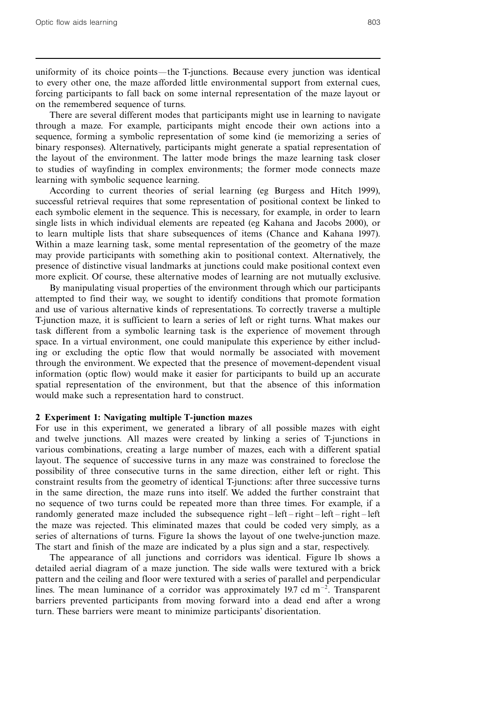uniformity of its choice points—the T-junctions. Because every junction was identical to every other one, the maze afforded little environmental support from external cues, forcing participants to fall back on some internal representation of the maze layout or on the remembered sequence of turns.

There are several different modes that participants might use in learning to navigate through a maze. For example, participants might encode their own actions into a sequence, forming a symbolic representation of some kind (ie memorizing a series of binary responses). Alternatively, participants might generate a spatial representation of the layout of the environment. The latter mode brings the maze learning task closer to studies of wayfinding in complex environments; the former mode connects maze learning with symbolic sequence learning.

According to current theories of serial learning (eg Burgess and Hitch 1999), successful retrieval requires that some representation of positional context be linked to each symbolic element in the sequence. This is necessary, for example, in order to learn single lists in which individual elements are repeated (eg Kahana and Jacobs 2000), or to learn multiple lists that share subsequences of items (Chance and Kahana 1997). Within a maze learning task, some mental representation of the geometry of the maze may provide participants with something akin to positional context. Alternatively, the presence of distinctive visual landmarks at junctions could make positional context even more explicit. Of course, these alternative modes of learning are not mutually exclusive.

By manipulating visual properties of the environment through which our participants attempted to find their way, we sought to identify conditions that promote formation and use of various alternative kinds of representations. To correctly traverse a multiple T-junction maze, it is sufficient to learn a series of left or right turns. What makes our task different from a symbolic learning task is the experience of movement through space. In a virtual environment, one could manipulate this experience by either including or excluding the optic flow that would normally be associated with movement through the environment. We expected that the presence of movement-dependent visual information (optic flow) would make it easier for participants to build up an accurate spatial representation of the environment, but that the absence of this information would make such a representation hard to construct.

# 2 Experiment 1: Navigating multiple T-junction mazes

For use in this experiment, we generated a library of all possible mazes with eight and twelve junctions. All mazes were created by linking a series of T-junctions in various combinations, creating a large number of mazes, each with a different spatial layout. The sequence of successive turns in any maze was constrained to foreclose the possibility of three consecutive turns in the same direction, either left or right. This constraint results from the geometry of identical T-junctions: after three successive turns in the same direction, the maze runs into itself. We added the further constraint that no sequence of two turns could be repeated more than three times. For example, if a randomly generated maze included the subsequence right $-\left\lceil \frac{eft - right - left}{\text{right}} \right\rceil$ the maze was rejected. This eliminated mazes that could be coded very simply, as a series of alternations of turns. Figure 1a shows the layout of one twelve-junction maze. The start and finish of the maze are indicated by a plus sign and a star, respectively.

The appearance of all junctions and corridors was identical. Figure 1b shows a detailed aerial diagram of a maze junction. The side walls were textured with a brick pattern and the ceiling and floor were textured with a series of parallel and perpendicular lines. The mean luminance of a corridor was approximately 19.7 cd  $m^{-2}$ . Transparent barriers prevented participants from moving forward into a dead end after a wrong turn. These barriers were meant to minimize participants' disorientation.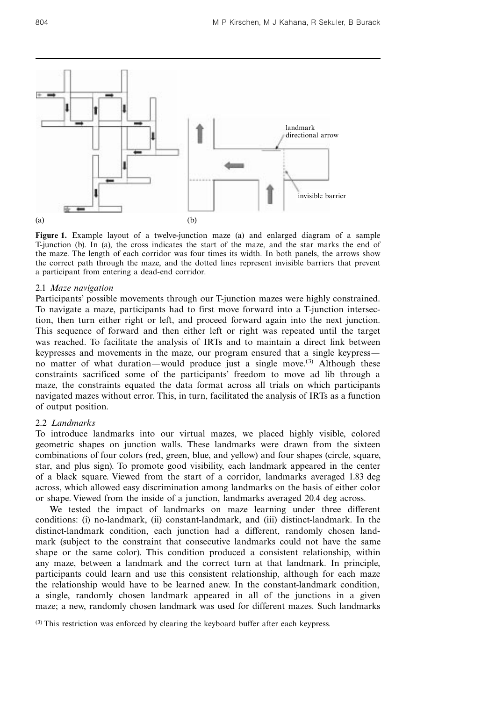

Figure 1. Example layout of a twelve-junction maze (a) and enlarged diagram of a sample T-junction (b). In (a), the cross indicates the start of the maze, and the star marks the end of the maze. The length of each corridor was four times its width. In both panels, the arrows show the correct path through the maze, and the dotted lines represent invisible barriers that prevent a participant from entering a dead-end corridor.

# 2.1 Maze navigation

Participants' possible movements through our T-junction mazes were highly constrained. To navigate a maze, participants had to first move forward into a T-junction intersection, then turn either right or left, and proceed forward again into the next junction. This sequence of forward and then either left or right was repeated until the target was reached. To facilitate the analysis of IRTs and to maintain a direct link between keypresses and movements in the maze, our program ensured that a single keypress no matter of what duration—would produce just a single move.<sup>(3)</sup> Although these constraints sacrificed some of the participants' freedom to move ad lib through a maze, the constraints equated the data format across all trials on which participants navigated mazes without error. This, in turn, facilitated the analysis of IRTs as a function of output position.

# 2.2 Landmarks

To introduce landmarks into our virtual mazes, we placed highly visible, colored geometric shapes on junction walls. These landmarks were drawn from the sixteen combinations of four colors (red, green, blue, and yellow) and four shapes (circle, square, star, and plus sign). To promote good visibility, each landmark appeared in the center of a black square. Viewed from the start of a corridor, landmarks averaged 1.83 deg across, which allowed easy discrimination among landmarks on the basis of either color or shape. Viewed from the inside of a junction, landmarks averaged 20.4 deg across.

We tested the impact of landmarks on maze learning under three different conditions: (i) no-landmark, (ii) constant-landmark, and (iii) distinct-landmark. In the distinct-landmark condition, each junction had a different, randomly chosen landmark (subject to the constraint that consecutive landmarks could not have the same shape or the same color). This condition produced a consistent relationship, within any maze, between a landmark and the correct turn at that landmark. In principle, participants could learn and use this consistent relationship, although for each maze the relationship would have to be learned anew. In the constant-landmark condition, a single, randomly chosen landmark appeared in all of the junctions in a given maze; a new, randomly chosen landmark was used for different mazes. Such landmarks

(3) This restriction was enforced by clearing the keyboard buffer after each keypress.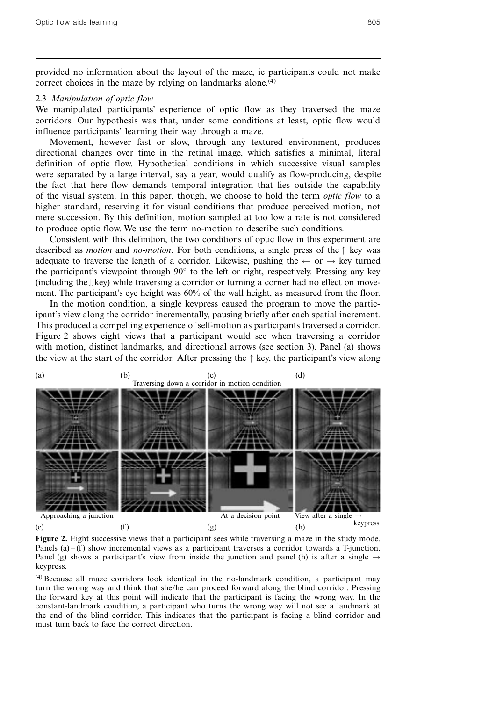provided no information about the layout of the maze, ie participants could not make correct choices in the maze by relying on landmarks alone.<sup>(4)</sup>

# 2.3 Manipulation of optic flow

We manipulated participants' experience of optic flow as they traversed the maze corridors. Our hypothesis was that, under some conditions at least, optic flow would influence participants' learning their way through a maze.

Movement, however fast or slow, through any textured environment, produces directional changes over time in the retinal image, which satisfies a minimal, literal definition of optic flow. Hypothetical conditions in which successive visual samples were separated by a large interval, say a year, would qualify as flow-producing, despite the fact that here flow demands temporal integration that lies outside the capability of the visual system. In this paper, though, we choose to hold the term optic flow to a higher standard, reserving it for visual conditions that produce perceived motion, not mere succession. By this definition, motion sampled at too low a rate is not considered to produce optic flow. We use the term no-motion to describe such conditions.

Consistent with this definition, the two conditions of optic flow in this experiment are described as *motion* and *no-motion*. For both conditions, a single press of the  $\uparrow$  key was adequate to traverse the length of a corridor. Likewise, pushing the  $\leftarrow$  or  $\rightarrow$  key turned the participant's viewpoint through  $90^\circ$  to the left or right, respectively. Pressing any key (including the  $\downarrow$  key) while traversing a corridor or turning a corner had no effect on movement. The participant's eye height was 60% of the wall height, as measured from the floor.

In the motion condition, a single keypress caused the program to move the participant's view along the corridor incrementally, pausing briefly after each spatial increment. This produced a compelling experience of self-motion as participants traversed a corridor. Figure 2 shows eight views that a participant would see when traversing a corridor with motion, distinct landmarks, and directional arrows (see section 3). Panel (a) shows the view at the start of the corridor. After pressing the  $\uparrow$  key, the participant's view along



Figure 2. Eight successive views that a participant sees while traversing a maze in the study mode. Panels  $(a) - (f)$  show incremental views as a participant traverses a corridor towards a T-junction. Panel (g) shows a participant's view from inside the junction and panel (h) is after a single  $\rightarrow$ keypress.

(4) Because all maze corridors look identical in the no-landmark condition, a participant may turn the wrong way and think that she/he can proceed forward along the blind corridor. Pressing the forward key at this point will indicate that the participant is facing the wrong way. In the constant-landmark condition, a participant who turns the wrong way will not see a landmark at the end of the blind corridor. This indicates that the participant is facing a blind corridor and must turn back to face the correct direction.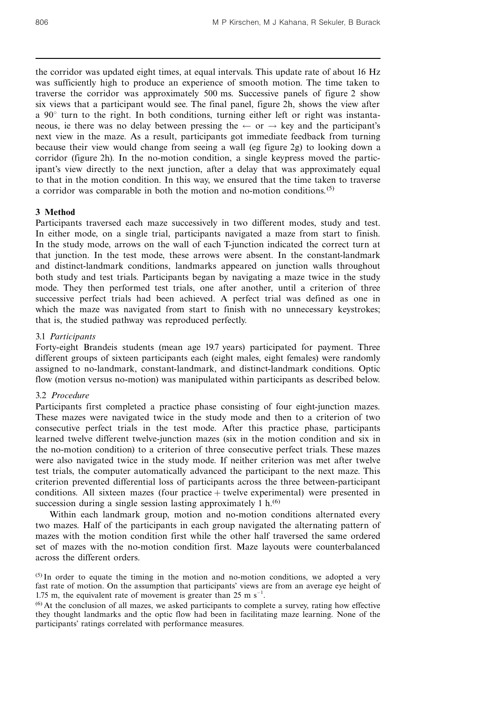the corridor was updated eight times, at equal intervals. This update rate of about 16 Hz was sufficiently high to produce an experience of smooth motion. The time taken to traverse the corridor was approximately 500 ms. Successive panels of figure 2 show six views that a participant would see. The final panel, figure 2h, shows the view after a  $90^\circ$  turn to the right. In both conditions, turning either left or right was instantaneous, ie there was no delay between pressing the  $\leftarrow$  or  $\rightarrow$  key and the participant's next view in the maze. As a result, participants got immediate feedback from turning because their view would change from seeing a wall (eg figure 2g) to looking down a corridor (figure 2h). In the no-motion condition, a single keypress moved the participant's view directly to the next junction, after a delay that was approximately equal to that in the motion condition. In this way, we ensured that the time taken to traverse a corridor was comparable in both the motion and no-motion conditions.(5)

# 3 Method

Participants traversed each maze successively in two different modes, study and test. In either mode, on a single trial, participants navigated a maze from start to finish. In the study mode, arrows on the wall of each T-junction indicated the correct turn at that junction. In the test mode, these arrows were absent. In the constant-landmark and distinct-landmark conditions, landmarks appeared on junction walls throughout both study and test trials. Participants began by navigating a maze twice in the study mode. They then performed test trials, one after another, until a criterion of three successive perfect trials had been achieved. A perfect trial was defined as one in which the maze was navigated from start to finish with no unnecessary keystrokes; that is, the studied pathway was reproduced perfectly.

# 3.1 Participants

Forty-eight Brandeis students (mean age 19.7 years) participated for payment. Three different groups of sixteen participants each (eight males, eight females) were randomly assigned to no-landmark, constant-landmark, and distinct-landmark conditions. Optic flow (motion versus no-motion) was manipulated within participants as described below.

### 3.2 Procedure

Participants first completed a practice phase consisting of four eight-junction mazes. These mazes were navigated twice in the study mode and then to a criterion of two consecutive perfect trials in the test mode. After this practice phase, participants learned twelve different twelve-junction mazes (six in the motion condition and six in the no-motion condition) to a criterion of three consecutive perfect trials. These mazes were also navigated twice in the study mode. If neither criterion was met after twelve test trials, the computer automatically advanced the participant to the next maze. This criterion prevented differential loss of participants across the three between-participant conditions. All sixteen mazes (four practice  $+$  twelve experimental) were presented in succession during a single session lasting approximately  $1 h^{(6)}$ 

Within each landmark group, motion and no-motion conditions alternated every two mazes. Half of the participants in each group navigated the alternating pattern of mazes with the motion condition first while the other half traversed the same ordered set of mazes with the no-motion condition first. Maze layouts were counterbalanced across the different orders.

 $<sup>(5)</sup>$  In order to equate the timing in the motion and no-motion conditions, we adopted a very</sup> fast rate of motion. On the assumption that participants' views are from an average eye height of 1.75 m, the equivalent rate of movement is greater than  $25 \text{ m s}^{-1}$ .

(6) At the conclusion of all mazes, we asked participants to complete a survey, rating how effective they thought landmarks and the optic flow had been in facilitating maze learning. None of the participants' ratings correlated with performance measures.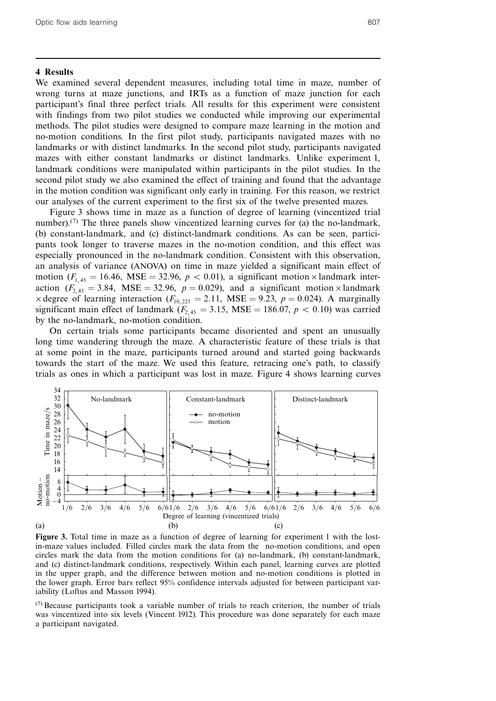#### 4 Results

We examined several dependent measures, including total time in maze, number of wrong turns at maze junctions, and IRTs as a function of maze junction for each participant's final three perfect trials. All results for this experiment were consistent with findings from two pilot studies we conducted while improving our experimental methods. The pilot studies were designed to compare maze learning in the motion and no-motion conditions. In the first pilot study, participants navigated mazes with no landmarks or with distinct landmarks. In the second pilot study, participants navigated mazes with either constant landmarks or distinct landmarks. Unlike experiment 1, landmark conditions were manipulated within participants in the pilot studies. In the second pilot study we also examined the effect of training and found that the advantage in the motion condition was significant only early in training. For this reason, we restrict our analyses of the current experiment to the first six of the twelve presented mazes.

Figure 3 shows time in maze as a function of degree of learning (vincentized trial number).<sup>(7)</sup> The three panels show vincentized learning curves for (a) the no-landmark, (b) constant-landmark, and (c) distinct-landmark conditions. As can be seen, participants took longer to traverse mazes in the no-motion condition, and this effect was especially pronounced in the no-landmark condition. Consistent with this observation, an analysis of variance (ANOVA) on time in maze yielded a significant main effect of motion  $(F_{1,45} = 16.46, \text{MSE} = 32.96, p < 0.01)$ , a significant motion  $\times$  landmark interaction  $(F_{2,45} = 3.84, \text{MSE} = 32.96, p = 0.029)$ , and a significant motion  $\times$ landmark  $\times$  degree of learning interaction  $(F_{10, 225} = 2.11, \text{MSE} = 9.23, p = 0.024)$ . A marginally significant main effect of landmark ( $F_{2,45} = 3.15$ , MSE = 186.07,  $p < 0.10$ ) was carried by the no-landmark, no-motion condition.

On certain trials some participants became disoriented and spent an unusually long time wandering through the maze. A characteristic feature of these trials is that at some point in the maze, participants turned around and started going backwards towards the start of the maze. We used this feature, retracing one's path, to classify trials as ones in which a participant was lost in maze. Figure 4 shows learning curves



Figure 3. Total time in maze as a function of degree of learning for experiment 1 with the lostin-maze values included. Filled circles mark the data from the no-motion conditions, and open circles mark the data from the motion conditions for (a) no-landmark, (b) constant-landmark, and (c) distinct-landmark conditions, respectively. Within each panel, learning curves are plotted in the upper graph, and the difference between motion and no-motion conditions is plotted in the lower graph. Error bars reflect 95% confidence intervals adjusted for between participant variability (Loftus and Masson 1994).

 $(7)$  Because participants took a variable number of trials to reach criterion, the number of trials was vincentized into six levels (Vincent 1912). This procedure was done separately for each maze a participant navigated.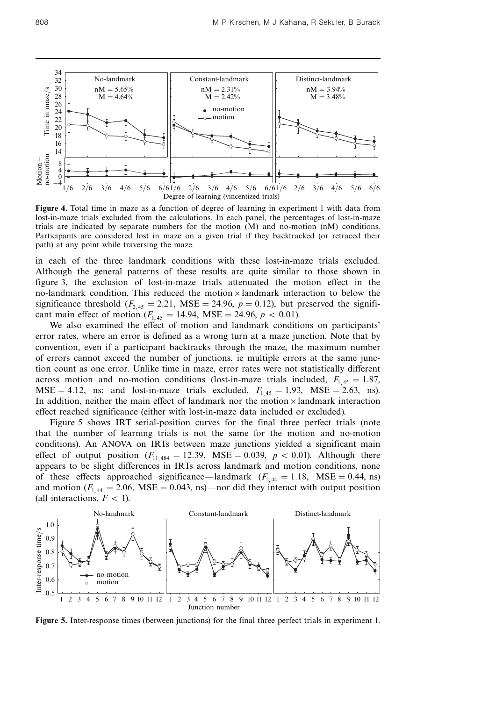

Figure 4. Total time in maze as a function of degree of learning in experiment 1 with data from lost-in-maze trials excluded from the calculations. In each panel, the percentages of lost-in-maze trials are indicated by separate numbers for the motion (M) and no-motion (nM) conditions. Participants are considered lost in maze on a given trial if they backtracked (or retraced their path) at any point while traversing the maze.

in each of the three landmark conditions with these lost-in-maze trials excluded. Although the general patterns of these results are quite similar to those shown in figure 3, the exclusion of lost-in-maze trials attenuated the motion effect in the no-landmark condition. This reduced the motion  $\times$  landmark interaction to below the significance threshold  $(F_{2,45} = 2.21, \text{ MSE} = 24.96, p = 0.12)$ , but preserved the significant main effect of motion  $(F_{1,45} = 14.94, \text{MSE} = 24.96, p < 0.01)$ .

We also examined the effect of motion and landmark conditions on participants' error rates, where an error is defined as a wrong turn at a maze junction. Note that by convention, even if a participant backtracks through the maze, the maximum number of errors cannot exceed the number of junctions, ie multiple errors at the same junction count as one error. Unlike time in maze, error rates were not statistically different across motion and no-motion conditions (lost-in-maze trials included,  $F_{1,45} = 1.87$ ,  $MSE = 4.12$ , ns; and lost-in-maze trials excluded,  $F_{1,45} = 1.93$ ,  $MSE = 2.63$ , ns). In addition, neither the main effect of landmark nor the motion  $\times$  landmark interaction effect reached significance (either with lost-in-maze data included or excluded).

Figure 5 shows IRT serial-position curves for the final three perfect trials (note that the number of learning trials is not the same for the motion and no-motion conditions). An ANOVA on IRTs between maze junctions yielded a significant main effect of output position  $(F_{11,484} = 12.39, \text{ MSE} = 0.039, p < 0.01)$ . Although there appears to be slight differences in IRTs across landmark and motion conditions, none of these effects approached significance—landmark  $(F_{2,44} = 1.18, \text{MSE} = 0.44, \text{ns})$ and motion  $(F_{1,44} = 2.06, \text{MSE} = 0.043, \text{ns})$ —nor did they interact with output position (all interactions,  $F < 1$ ).



Figure 5. Inter-response times (between junctions) for the final three perfect trials in experiment 1.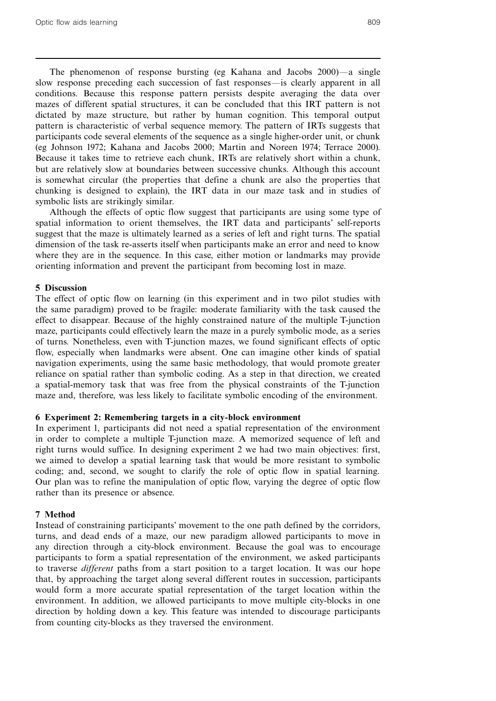The phenomenon of response bursting (eg Kahana and Jacobs  $2000$ ) a single slow response preceding each succession of fast responses—is clearly apparent in all conditions. Because this response pattern persists despite averaging the data over mazes of different spatial structures, it can be concluded that this IRT pattern is not dictated by maze structure, but rather by human cognition. This temporal output pattern is characteristic of verbal sequence memory. The pattern of IRTs suggests that participants code several elements of the sequence as a single higher-order unit, or chunk (eg Johnson 1972; Kahana and Jacobs 2000; Martin and Noreen 1974; Terrace 2000). Because it takes time to retrieve each chunk, IRTs are relatively short within a chunk, but are relatively slow at boundaries between successive chunks. Although this account is somewhat circular (the properties that define a chunk are also the properties that chunking is designed to explain), the IRT data in our maze task and in studies of symbolic lists are strikingly similar.

Although the effects of optic flow suggest that participants are using some type of spatial information to orient themselves, the IRT data and participants' self-reports suggest that the maze is ultimately learned as a series of left and right turns. The spatial dimension of the task re-asserts itself when participants make an error and need to know where they are in the sequence. In this case, either motion or landmarks may provide orienting information and prevent the participant from becoming lost in maze.

# 5 Discussion

The effect of optic flow on learning (in this experiment and in two pilot studies with the same paradigm) proved to be fragile: moderate familiarity with the task caused the effect to disappear. Because of the highly constrained nature of the multiple T-junction maze, participants could effectively learn the maze in a purely symbolic mode, as a series of turns. Nonetheless, even with T-junction mazes, we found significant effects of optic flow, especially when landmarks were absent. One can imagine other kinds of spatial navigation experiments, using the same basic methodology, that would promote greater reliance on spatial rather than symbolic coding. As a step in that direction, we created a spatial-memory task that was free from the physical constraints of the T-junction maze and, therefore, was less likely to facilitate symbolic encoding of the environment.

# 6 Experiment 2: Remembering targets in a city-block environment

In experiment 1, participants did not need a spatial representation of the environment in order to complete a multiple T-junction maze. A memorized sequence of left and right turns would suffice. In designing experiment 2 we had two main objectives: first, we aimed to develop a spatial learning task that would be more resistant to symbolic coding; and, second, we sought to clarify the role of optic flow in spatial learning. Our plan was to refine the manipulation of optic flow, varying the degree of optic flow rather than its presence or absence.

# 7 Method

Instead of constraining participants' movement to the one path defined by the corridors, turns, and dead ends of a maze, our new paradigm allowed participants to move in any direction through a city-block environment. Because the goal was to encourage participants to form a spatial representation of the environment, we asked participants to traverse *different* paths from a start position to a target location. It was our hope that, by approaching the target along several different routes in succession, participants would form a more accurate spatial representation of the target location within the environment. In addition, we allowed participants to move multiple city-blocks in one direction by holding down a key. This feature was intended to discourage participants from counting city-blocks as they traversed the environment.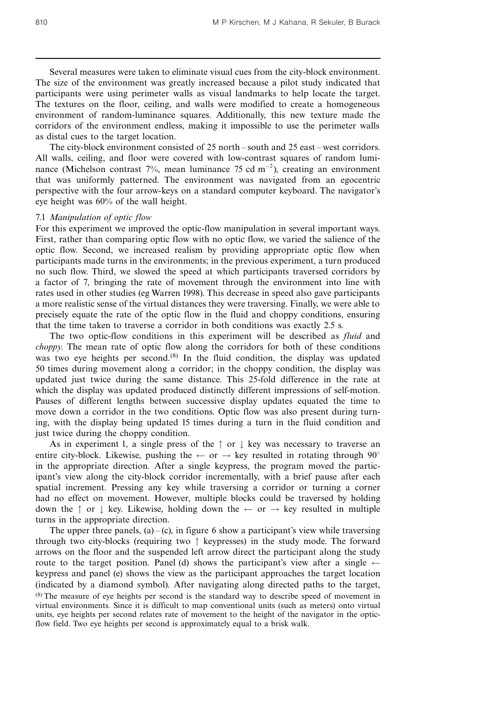Several measures were taken to eliminate visual cues from the city-block environment. The size of the environment was greatly increased because a pilot study indicated that participants were using perimeter walls as visual landmarks to help locate the target. The textures on the floor, ceiling, and walls were modified to create a homogeneous environment of random-luminance squares. Additionally, this new texture made the corridors of the environment endless, making it impossible to use the perimeter walls as distal cues to the target location.

The city-block environment consisted of  $25$  north  $-$  south and  $25$  east  $-$  west corridors. All walls, ceiling, and floor were covered with low-contrast squares of random luminance (Michelson contrast 7%, mean luminance 75 cd  $m^{-2}$ ), creating an environment that was uniformly patterned. The environment was navigated from an egocentric perspective with the four arrow-keys on a standard computer keyboard. The navigator's eye height was 60% of the wall height.

#### 7.1 Manipulation of optic flow

For this experiment we improved the optic-flow manipulation in several important ways. First, rather than comparing optic flow with no optic flow, we varied the salience of the optic flow. Second, we increased realism by providing appropriate optic flow when participants made turns in the environments; in the previous experiment, a turn produced no such flow. Third, we slowed the speed at which participants traversed corridors by a factor of 7, bringing the rate of movement through the environment into line with rates used in other studies (eg Warren 1998). This decrease in speed also gave participants a more realistic sense of the virtual distances they were traversing. Finally, we were able to precisely equate the rate of the optic flow in the fluid and choppy conditions, ensuring that the time taken to traverse a corridor in both conditions was exactly 2.5 s.

The two optic-flow conditions in this experiment will be described as *fluid* and choppy. The mean rate of optic flow along the corridors for both of these conditions was two eye heights per second.<sup>(8)</sup> In the fluid condition, the display was updated 50 times during movement along a corridor; in the choppy condition, the display was updated just twice during the same distance. This 25-fold difference in the rate at which the display was updated produced distinctly different impressions of self-motion. Pauses of different lengths between successive display updates equated the time to move down a corridor in the two conditions. Optic flow was also present during turning, with the display being updated 15 times during a turn in the fluid condition and just twice during the choppy condition.

As in experiment 1, a single press of the  $\uparrow$  or  $\downarrow$  key was necessary to traverse an entire city-block. Likewise, pushing the  $\leftarrow$  or  $\rightarrow$  key resulted in rotating through 90° in the appropriate direction. After a single keypress, the program moved the participant's view along the city-block corridor incrementally, with a brief pause after each spatial increment. Pressing any key while traversing a corridor or turning a corner had no effect on movement. However, multiple blocks could be traversed by holding down the  $\uparrow$  or  $\downarrow$  key. Likewise, holding down the  $\leftarrow$  or  $\rightarrow$  key resulted in multiple turns in the appropriate direction.

The upper three panels,  $(a) - (c)$ , in figure 6 show a participant's view while traversing through two city-blocks (requiring two  $\uparrow$  keypresses) in the study mode. The forward arrows on the floor and the suspended left arrow direct the participant along the study route to the target position. Panel (d) shows the participant's view after a single  $\leftarrow$ keypress and panel (e) shows the view as the participant approaches the target location (indicated by a diamond symbol). After navigating along directed paths to the target, (8) The measure of eye heights per second is the standard way to describe speed of movement in virtual environments. Since it is difficult to map conventional units (such as meters) onto virtual units, eye heights per second relates rate of movement to the height of the navigator in the opticflow field. Two eye heights per second is approximately equal to a brisk walk.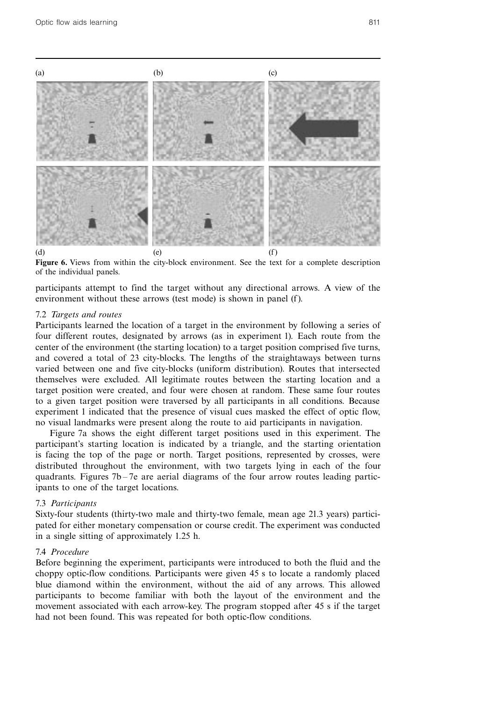

Figure 6. Views from within the city-block environment. See the text for a complete description of the individual panels.

participants attempt to find the target without any directional arrows. A view of the environment without these arrows (test mode) is shown in panel (f).

#### 7.2 Targets and routes

Participants learned the location of a target in the environment by following a series of four different routes, designated by arrows (as in experiment 1). Each route from the center of the environment (the starting location) to a target position comprised five turns, and covered a total of 23 city-blocks. The lengths of the straightaways between turns varied between one and five city-blocks (uniform distribution). Routes that intersected themselves were excluded. All legitimate routes between the starting location and a target position were created, and four were chosen at random. These same four routes to a given target position were traversed by all participants in all conditions. Because experiment 1 indicated that the presence of visual cues masked the effect of optic flow, no visual landmarks were present along the route to aid participants in navigation.

Figure 7a shows the eight different target positions used in this experiment. The participant's starting location is indicated by a triangle, and the starting orientation is facing the top of the page or north. Target positions, represented by crosses, were distributed throughout the environment, with two targets lying in each of the four quadrants. Figures  $7b - 7e$  are aerial diagrams of the four arrow routes leading participants to one of the target locations.

#### 7.3 Participants

Sixty-four students (thirty-two male and thirty-two female, mean age 21.3 years) participated for either monetary compensation or course credit. The experiment was conducted in a single sitting of approximately 1.25 h.

# 7.4 Procedure

Before beginning the experiment, participants were introduced to both the fluid and the choppy optic-flow conditions. Participants were given 45 s to locate a randomly placed blue diamond within the environment, without the aid of any arrows. This allowed participants to become familiar with both the layout of the environment and the movement associated with each arrow-key. The program stopped after 45 s if the target had not been found. This was repeated for both optic-flow conditions.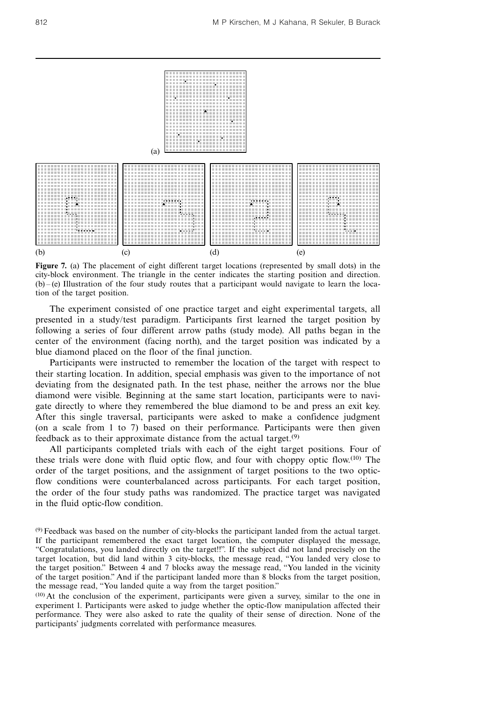

Figure 7. (a) The placement of eight different target locations (represented by small dots) in the city-block environment. The triangle in the center indicates the starting position and direction.  $(b) - (e)$  Illustration of the four study routes that a participant would navigate to learn the location of the target position.

The experiment consisted of one practice target and eight experimental targets, all presented in a study/test paradigm. Participants first learned the target position by following a series of four different arrow paths (study mode). All paths began in the center of the environment (facing north), and the target position was indicated by a blue diamond placed on the floor of the final junction.

Participants were instructed to remember the location of the target with respect to their starting location. In addition, special emphasis was given to the importance of not deviating from the designated path. In the test phase, neither the arrows nor the blue diamond were visible. Beginning at the same start location, participants were to navigate directly to where they remembered the blue diamond to be and press an exit key. After this single traversal, participants were asked to make a confidence judgment (on a scale from 1 to 7) based on their performance. Participants were then given feedback as to their approximate distance from the actual target.(9)

All participants completed trials with each of the eight target positions. Four of these trials were done with fluid optic flow, and four with choppy optic flow.(10) The order of the target positions, and the assignment of target positions to the two opticflow conditions were counterbalanced across participants. For each target position, the order of the four study paths was randomized. The practice target was navigated in the fluid optic-flow condition.

 $(9)$  Feedback was based on the number of city-blocks the participant landed from the actual target. If the participant remembered the exact target location, the computer displayed the message, ``Congratulations, you landed directly on the target!!''. If the subject did not land precisely on the target location, but did land within 3 city-blocks, the message read, "You landed very close to the target position." Between 4 and 7 blocks away the message read, "You landed in the vicinity of the target position.'' And if the participant landed more than 8 blocks from the target position, the message read, "You landed quite a way from the target position."

<sup>(10)</sup> At the conclusion of the experiment, participants were given a survey, similar to the one in experiment 1. Participants were asked to judge whether the optic-flow manipulation affected their performance. They were also asked to rate the quality of their sense of direction. None of the participants' judgments correlated with performance measures.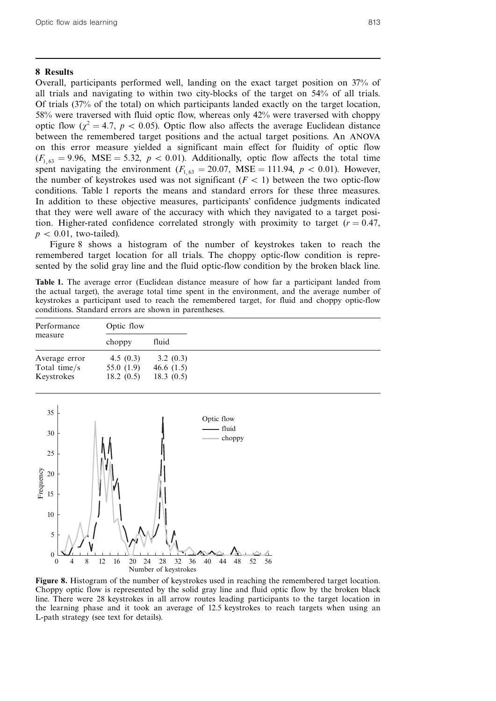# 8 Results

Overall, participants performed well, landing on the exact target position on 37% of all trials and navigating to within two city-blocks of the target on 54% of all trials. Of trials (37% of the total) on which participants landed exactly on the target location, 58% were traversed with fluid optic flow, whereas only 42% were traversed with choppy optic flow ( $\chi^2 = 4.7$ ,  $p < 0.05$ ). Optic flow also affects the average Euclidean distance between the remembered target positions and the actual target positions. An ANOVA on this error measure yielded a significant main effect for fluidity of optic flow  $(F_{1,63} = 9.96, \text{ MSE} = 5.32, p < 0.01)$ . Additionally, optic flow affects the total time spent navigating the environment  $(F_{1,63} = 20.07, \text{ MSE} = 111.94, p < 0.01)$ . However, the number of keystrokes used was not significant  $(F < 1)$  between the two optic-flow conditions. Table 1 reports the means and standard errors for these three measures. In addition to these objective measures, participants' confidence judgments indicated that they were well aware of the accuracy with which they navigated to a target position. Higher-rated confidence correlated strongly with proximity to target ( $r = 0.47$ ,  $p < 0.01$ , two-tailed).

Figure 8 shows a histogram of the number of keystrokes taken to reach the remembered target location for all trials. The choppy optic-flow condition is represented by the solid gray line and the fluid optic-flow condition by the broken black line.

Table 1. The average error (Euclidean distance measure of how far a participant landed from the actual target), the average total time spent in the environment, and the average number of keystrokes a participant used to reach the remembered target, for fluid and choppy optic-flow conditions. Standard errors are shown in parentheses.

| Performance<br>measure | Optic flow  |              |
|------------------------|-------------|--------------|
|                        | choppy      | fluid        |
| Average error          | 4.5 $(0.3)$ | 3.2(0.3)     |
| Total time/s           | 55.0 (1.9)  | 46.6 $(1.5)$ |
| Keystrokes             | 18.2(0.5)   | 18.3(0.5)    |



Figure 8. Histogram of the number of keystrokes used in reaching the remembered target location. Choppy optic flow is represented by the solid gray line and fluid optic flow by the broken black line. There were 28 keystrokes in all arrow routes leading participants to the target location in the learning phase and it took an average of 12.5 keystrokes to reach targets when using an L-path strategy (see text for details).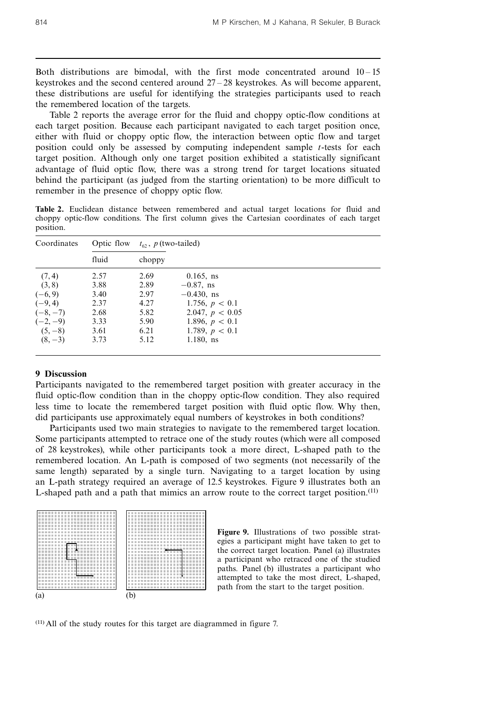Both distributions are bimodal, with the first mode concentrated around  $10 - 15$ keystrokes and the second centered around  $27 - 28$  keystrokes. As will become apparent, these distributions are useful for identifying the strategies participants used to reach the remembered location of the targets.

Table 2 reports the average error for the fluid and choppy optic-flow conditions at each target position. Because each participant navigated to each target position once, either with fluid or choppy optic flow, the interaction between optic flow and target position could only be assessed by computing independent sample t-tests for each target position. Although only one target position exhibited a statistically significant advantage of fluid optic flow, there was a strong trend for target locations situated behind the participant (as judged from the starting orientation) to be more difficult to remember in the presence of choppy optic flow.

Table 2. Euclidean distance between remembered and actual target locations for fluid and choppy optic-flow conditions. The first column gives the Cartesian coordinates of each target position.

| Coordinates | Optic flow | $t_{62}$ , p (two-tailed) |                   |  |
|-------------|------------|---------------------------|-------------------|--|
|             | fluid      | choppy                    |                   |  |
| (7, 4)      | 2.57       | 2.69                      | $0.165$ , ns      |  |
| (3, 8)      | 3.88       | 2.89                      | $-0.87$ , ns      |  |
| $(-6, 9)$   | 3.40       | 2.97                      | $-0.430$ , ns     |  |
| $(-9, 4)$   | 2.37       | 4.27                      | 1.756, $p < 0.1$  |  |
| $(-8, -7)$  | 2.68       | 5.82                      | 2.047, $p < 0.05$ |  |
| $(-2,-9)$   | 3.33       | 5.90                      | 1.896, $p < 0.1$  |  |
| $(5, -8)$   | 3.61       | 6.21                      | 1.789, $p < 0.1$  |  |
| $(8, -3)$   | 3.73       | 5.12                      | $1.180$ , ns      |  |

# 9 Discussion

Participants navigated to the remembered target position with greater accuracy in the fluid optic-flow condition than in the choppy optic-flow condition. They also required less time to locate the remembered target position with fluid optic flow. Why then, did participants use approximately equal numbers of keystrokes in both conditions?

Participants used two main strategies to navigate to the remembered target location. Some participants attempted to retrace one of the study routes (which were all composed of 28 keystrokes), while other participants took a more direct, L-shaped path to the remembered location. An L-path is composed of two segments (not necessarily of the same length) separated by a single turn. Navigating to a target location by using an L-path strategy required an average of 12.5 keystrokes. Figure 9 illustrates both an L-shaped path and a path that mimics an arrow route to the correct target position.<sup>(11)</sup>



Figure 9. Illustrations of two possible strategies a participant might have taken to get to the correct target location. Panel (a) illustrates a participant who retraced one of the studied paths. Panel (b) illustrates a participant who attempted to take the most direct, L-shaped, path from the start to the target position.

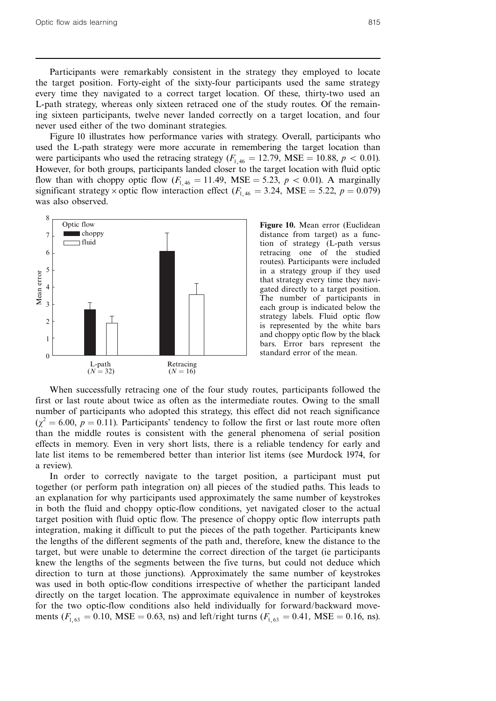Participants were remarkably consistent in the strategy they employed to locate the target position. Forty-eight of the sixty-four participants used the same strategy every time they navigated to a correct target location. Of these, thirty-two used an L-path strategy, whereas only sixteen retraced one of the study routes. Of the remaining sixteen participants, twelve never landed correctly on a target location, and four never used either of the two dominant strategies.

Figure 10 illustrates how performance varies with strategy. Overall, participants who used the L-path strategy were more accurate in remembering the target location than were participants who used the retracing strategy ( $F_{1,46} = 12.79$ , MSE = 10.88,  $p < 0.01$ ). However, for both groups, participants landed closer to the target location with fluid optic flow than with choppy optic flow  $(F_{1,46} = 11.49, \text{ MSE} = 5.23, p < 0.01)$ . A marginally significant strategy  $\times$  optic flow interaction effect ( $F_{1, 46} = 3.24$ , MSE = 5.22,  $p = 0.079$ ) was also observed.



Figure 10. Mean error (Euclidean distance from target) as a function of strategy (L-path versus retracing one of the studied routes). Participants were included in a strategy group if they used that strategy every time they navigated directly to a target position. The number of participants in each group is indicated below the strategy labels. Fluid optic flow is represented by the white bars and choppy optic flow by the black bars. Error bars represent the standard error of the mean.

When successfully retracing one of the four study routes, participants followed the first or last route about twice as often as the intermediate routes. Owing to the small number of participants who adopted this strategy, this effect did not reach significance  $(\chi^2 = 6.00, p = 0.11)$ . Participants' tendency to follow the first or last route more often than the middle routes is consistent with the general phenomena of serial position effects in memory. Even in very short lists, there is a reliable tendency for early and late list items to be remembered better than interior list items (see Murdock 1974, for a review).

In order to correctly navigate to the target position, a participant must put together (or perform path integration on) all pieces of the studied paths. This leads to an explanation for why participants used approximately the same number of keystrokes in both the fluid and choppy optic-flow conditions, yet navigated closer to the actual target position with fluid optic flow. The presence of choppy optic flow interrupts path integration, making it difficult to put the pieces of the path together. Participants knew the lengths of the different segments of the path and, therefore, knew the distance to the target, but were unable to determine the correct direction of the target (ie participants knew the lengths of the segments between the five turns, but could not deduce which direction to turn at those junctions). Approximately the same number of keystrokes was used in both optic-flow conditions irrespective of whether the participant landed directly on the target location. The approximate equivalence in number of keystrokes for the two optic-flow conditions also held individually for forward/backward movements ( $F_{1,63} = 0.10$ , MSE = 0.63, ns) and left/right turns ( $F_{1,63} = 0.41$ , MSE = 0.16, ns).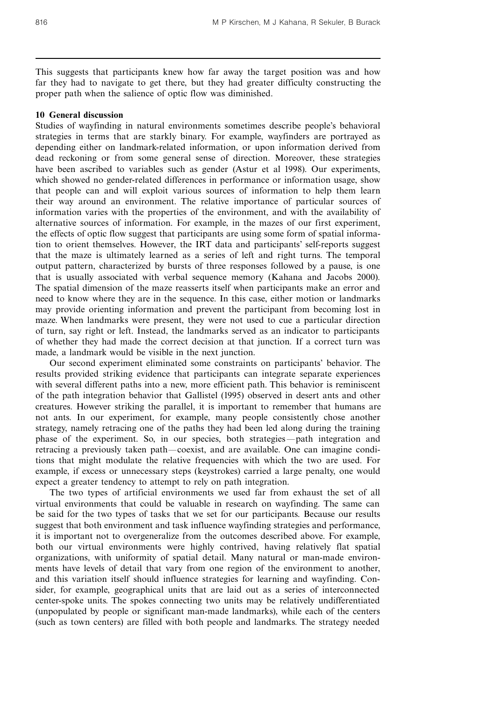This suggests that participants knew how far away the target position was and how far they had to navigate to get there, but they had greater difficulty constructing the proper path when the salience of optic flow was diminished.

## 10 General discussion

Studies of wayfinding in natural environments sometimes describe people's behavioral strategies in terms that are starkly binary. For example, wayfinders are portrayed as depending either on landmark-related information, or upon information derived from dead reckoning or from some general sense of direction. Moreover, these strategies have been ascribed to variables such as gender (Astur et al 1998). Our experiments, which showed no gender-related differences in performance or information usage, show that people can and will exploit various sources of information to help them learn their way around an environment. The relative importance of particular sources of information varies with the properties of the environment, and with the availability of alternative sources of information. For example, in the mazes of our first experiment, the effects of optic flow suggest that participants are using some form of spatial information to orient themselves. However, the IRT data and participants' self-reports suggest that the maze is ultimately learned as a series of left and right turns. The temporal output pattern, characterized by bursts of three responses followed by a pause, is one that is usually associated with verbal sequence memory (Kahana and Jacobs 2000). The spatial dimension of the maze reasserts itself when participants make an error and need to know where they are in the sequence. In this case, either motion or landmarks may provide orienting information and prevent the participant from becoming lost in maze. When landmarks were present, they were not used to cue a particular direction of turn, say right or left. Instead, the landmarks served as an indicator to participants of whether they had made the correct decision at that junction. If a correct turn was made, a landmark would be visible in the next junction.

Our second experiment eliminated some constraints on participants' behavior. The results provided striking evidence that participants can integrate separate experiences with several different paths into a new, more efficient path. This behavior is reminiscent of the path integration behavior that Gallistel (1995) observed in desert ants and other creatures. However striking the parallel, it is important to remember that humans are not ants. In our experiment, for example, many people consistently chose another strategy, namely retracing one of the paths they had been led along during the training phase of the experiment. So, in our species, both strategies—path integration and retracing a previously taken path—coexist, and are available. One can imagine conditions that might modulate the relative frequencies with which the two are used. For example, if excess or unnecessary steps (keystrokes) carried a large penalty, one would expect a greater tendency to attempt to rely on path integration.

The two types of artificial environments we used far from exhaust the set of all virtual environments that could be valuable in research on wayfinding. The same can be said for the two types of tasks that we set for our participants. Because our results suggest that both environment and task influence wayfinding strategies and performance, it is important not to overgeneralize from the outcomes described above. For example, both our virtual environments were highly contrived, having relatively flat spatial organizations, with uniformity of spatial detail. Many natural or man-made environments have levels of detail that vary from one region of the environment to another, and this variation itself should influence strategies for learning and wayfinding. Consider, for example, geographical units that are laid out as a series of interconnected center-spoke units. The spokes connecting two units may be relatively undifferentiated (unpopulated by people or significant man-made landmarks), while each of the centers (such as town centers) are filled with both people and landmarks. The strategy needed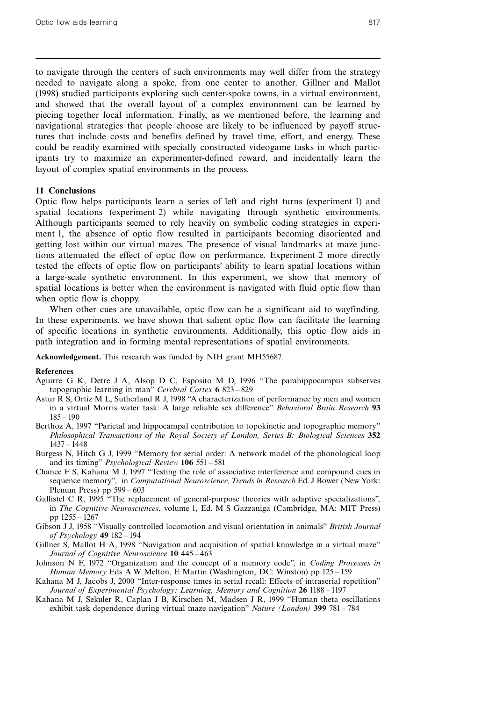to navigate through the centers of such environments may well differ from the strategy needed to navigate along a spoke, from one center to another. Gillner and Mallot (1998) studied participants exploring such center-spoke towns, in a virtual environment, and showed that the overall layout of a complex environment can be learned by piecing together local information. Finally, as we mentioned before, the learning and navigational strategies that people choose are likely to be influenced by payoff structures that include costs and benefits defined by travel time, effort, and energy. These could be readily examined with specially constructed videogame tasks in which participants try to maximize an experimenter-defined reward, and incidentally learn the layout of complex spatial environments in the process.

# 11 Conclusions

Optic flow helps participants learn a series of left and right turns (experiment 1) and spatial locations (experiment 2) while navigating through synthetic environments. Although participants seemed to rely heavily on symbolic coding strategies in experiment 1, the absence of optic flow resulted in participants becoming disoriented and getting lost within our virtual mazes. The presence of visual landmarks at maze junctions attenuated the effect of optic flow on performance. Experiment 2 more directly tested the effects of optic flow on participants' ability to learn spatial locations within a large-scale synthetic environment. In this experiment, we show that memory of spatial locations is better when the environment is navigated with fluid optic flow than when optic flow is choppy.

When other cues are unavailable, optic flow can be a significant aid to wayfinding. In these experiments, we have shown that salient optic flow can facilitate the learning of specific locations in synthetic environments. Additionally, this optic flow aids in path integration and in forming mental representations of spatial environments.

Acknowledgement. This research was funded by NIH grant MH55687.

#### References

- Aguirre G K, Detre J A, Alsop D C, Esposito M D, 1996 "The parahippocampus subserves topographic learning in man" Cerebral Cortex 6 823 - 829
- Astur R S, Ortiz M L, Sutherland R J, 1998 "A characterization of performance by men and women in a virtual Morris water task: A large reliable sex difference" Behavioral Brain Research 93  $185 - 190$
- Berthoz A, 1997 "Parietal and hippocampal contribution to topokinetic and topographic memory" Philosophical Transactions of the Royal Society of London, Series B: Biological Sciences 352  $1437 - 1448$
- Burgess N, Hitch G J, 1999 "Memory for serial order: A network model of the phonological loop and its timing" *Psychological Review* 106 551 - 581
- Chance F S, Kahana M J, 1997 "Testing the role of associative interference and compound cues in sequence memory", in *Computational Neuroscience*, *Trends in Research* Ed. J Bower (New York: Plenum Press) pp  $599 - 603$
- Gallistel C R,  $1995$  "The replacement of general-purpose theories with adaptive specializations", in The Cognitive Neurosciences, volume 1, Ed. M S Gazzaniga (Cambridge, MA: MIT Press) pp 1255 ^ 1267
- Gibson J J, 1958 "Visually controlled locomotion and visual orientation in animals" British Journal of Psychology 49 182 - 194
- Gillner S, Mallot H A, 1998 "Navigation and acquisition of spatial knowledge in a virtual maze" Journal of Cognitive Neuroscience 10 445-463
- Johnson N F, 1972 "Organization and the concept of a memory code", in Coding Processes in Human Memory Eds A W Melton, E Martin (Washington, DC: Winston) pp 125 – 159
- Kahana M J, Jacobs J, 2000 "Inter-response times in serial recall: Effects of intraserial repetition" Journal of Experimental Psychology: Learning, Memory and Cognition 26 1188 – 1197
- Kahana M J, Sekuler R, Caplan J B, Kirschen M, Madsen J R, 1999 "Human theta oscillations exhibit task dependence during virtual maze navigation" *Nature (London)* 399 781 – 784